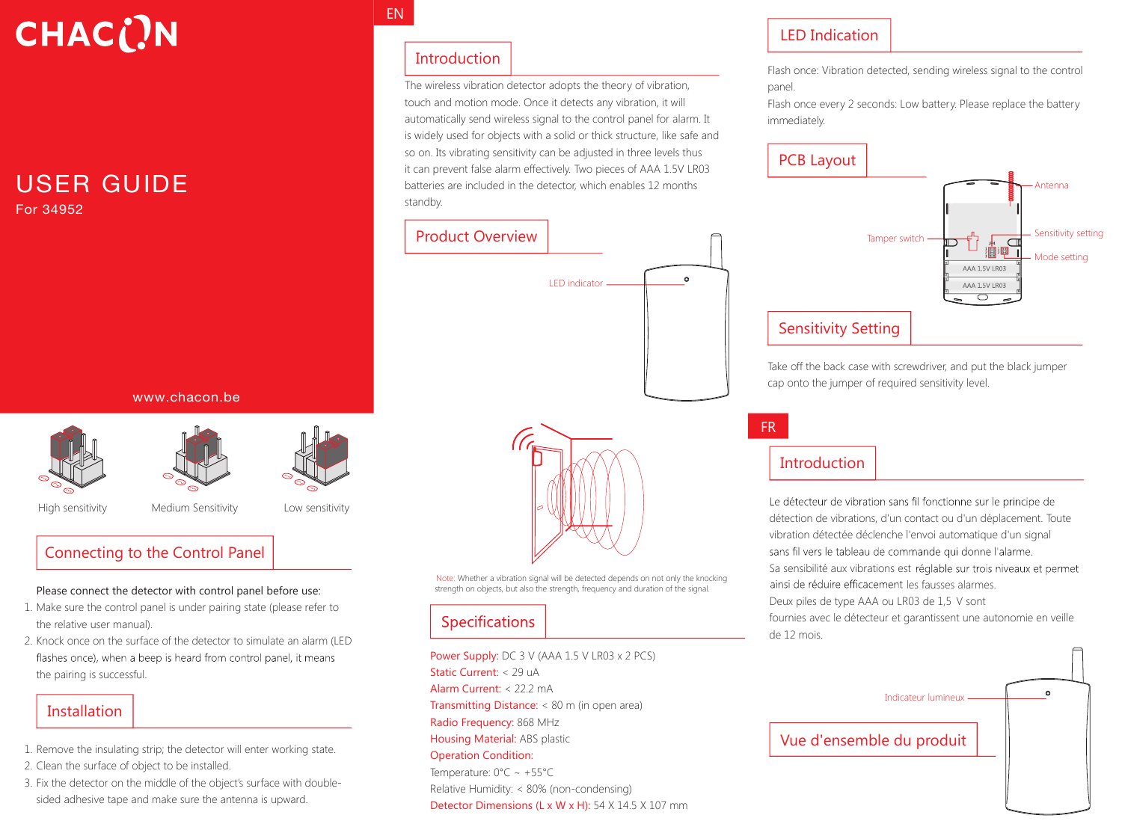# **CHAC()N**

#### USER GUIDE For 34952

www.chacon.be







High sensitivity Medium Sensitivity Low sensitivity

#### Connecting to the Control Panel

#### Please connect the detector with control panel before use:

- 1. Make sure the control panel is under pairing state (please refer to the relative user manual).
- 2. Knock once on the surface of the detector to simulate an alarm (LED flashes once), when a beep is heard from control panel, it means the pairing is successful.

### **Installation**

- 1. Remove the insulating strip; the detector will enter working state.
- 2. Clean the surface of object to be installed.
- 3. Fix the detector on the middle of the object's surface with doublesided adhesive tape and make sure the antenna is upward.

#### EN

#### Introduction

The wireless vibration detector adopts the theory of vibration, touch and motion mode. Once it detects any vibration, it will automatically send wireless signal to the control panel for alarm. It is widely used for objects with a solid or thick structure, like safe and so on. Its vibrating sensitivity can be adjusted in three levels thus it can prevent false alarm effectively. Two pieces of AAA 1.5V LR03 batteries are included in the detector, which enables 12 months standby.

## Product Overview LED indicator



Note: Whether a vibration signal will be detected depends on not only the knocking strength on objects, but also the strength, frequency and duration of the signal.

#### Specifications

Power Supply: DC 3 V (AAA 1.5 V LR03 x 2 PCS) Static Current: < 29 uA Alarm Current: < 22.2 mA Transmitting Distance: < 80 m (in open area) Radio Frequency: 868 MHz Housing Material: ABS plastic Operation Condition: Temperature: 0°C ~ +55°C Relative Humidity: < 80% (non-condensing) Detector Dimensions (L x W x H): 54 X 14.5 X 107 mm

#### LED Indication

Flash once: Vibration detected, sending wireless signal to the control panel.

Flash once every 2 seconds: Low battery. Please replace the battery immediately.

#### PCB Layout Antenna Sensitivity setting Tamper switch - $\Box$ - Mode setting AAA 1.5V LR03 AAA 1.5V LR03  $\overline{\bigcap}$ Sensitivity Setting

Take off the back case with screwdriver, and put the black jumper cap onto the jumper of required sensitivity level.

## Introduction

FR

 $\alpha$ 

Le détecteur de vibration sans fil fonctionne sur le principe de détection de vibrations, d'un contact ou d'un déplacement. Toute vibration détectée déclenche l'envoi automatique d'un signal sans fil vers le tableau de commande qui donne l'alarme. Sa sensibilité aux vibrations est réglable sur trois niveaux et permet ainsi de réduire efficacement les fausses alarmes. Deux piles de type AAA ou LR03 de 1,5 V sont fournies avec le détecteur et garantissent une autonomie en veille de 12 mois.

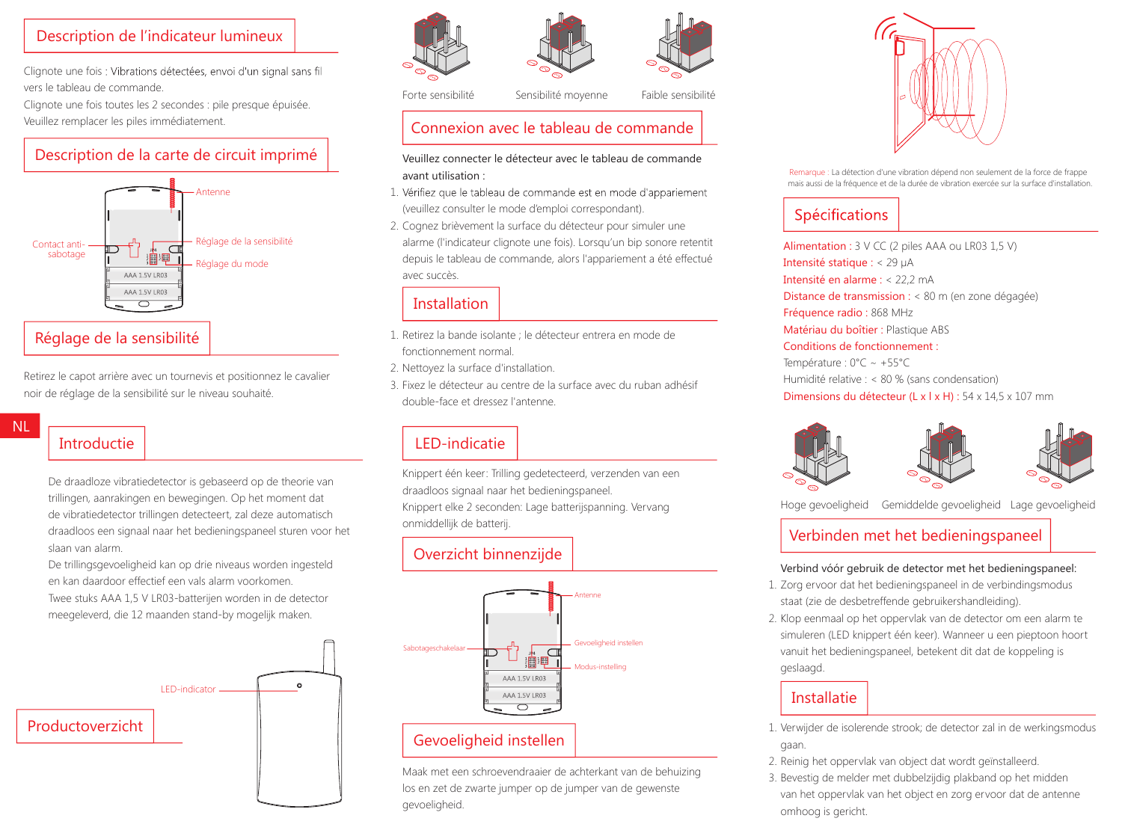#### Description de l'indicateur lumineux

Clignote une fois : Vibrations détectées, envoi d'un signal sans fil vers le tableau de commande.

Clignote une fois toutes les 2 secondes : pile presque épuisée. Veuillez remplacer les piles immédiatement.



Retirez le capot arrière avec un tournevis et positionnez le cavalier noir de réglage de la sensibilité sur le niveau souhaité.

## Introductie

NL

De draadloze vibratiedetector is gebaseerd op de theorie van trillingen, aanrakingen en bewegingen. Op het moment dat de vibratiedetector trillingen detecteert, zal deze automatisch draadloos een signaal naar het bedieningspaneel sturen voor het slaan van alarm.

De trillingsgevoeligheid kan op drie niveaus worden ingesteld en kan daardoor effectief een vals alarm voorkomen. Twee stuks AAA 1,5 V LR03-batterijen worden in de detector meegeleverd, die 12 maanden stand-by mogelijk maken.





Forte sensibilité <a>Sensibilité moyenne<br/>
Sensibilité moyenne Faible sensibilité

#### Connexion avec le tableau de commande

#### Veuillez connecter le détecteur avec le tableau de commande avant utilisation :

- 1. Vérifiez que le tableau de commande est en mode d'appariement (veuillez consulter le mode d'emploi correspondant).
- 2. Cognez brièvement la surface du détecteur pour simuler une alarme (l'indicateur clignote une fois). Lorsqu'un bip sonore retentit depuis le tableau de commande, alors l'appariement a été effectué avec succès.

#### Installation

- 1. Retirez la bande isolante ; le détecteur entrera en mode de fonctionnement normal.
- 2. Nettoyez la surface d'installation.
- 3. Fixez le détecteur au centre de la surface avec du ruban adhésif double-face et dressez l'antenne.

### LED-indicatie

Knippert één keer: Trilling gedetecteerd, verzenden van een draadloos signaal naar het bedieningspaneel. Knippert elke 2 seconden: Lage batterijspanning. Vervang onmiddellijk de batterij.

## Overzicht binnenzijde



Maak met een schroevendraaier de achterkant van de behuizing los en zet de zwarte jumper op de jumper van de gewenste gevoeligheid.



Remarque : La détection d'une vibration dépend non seulement de la force de frappe mais aussi de la fréquence et de la durée de vibration exercée sur la surface d'installation.

### Spécifications

Alimentation : 3 V CC (2 piles AAA ou LR03 1,5 V) Intensité statique : < 29 µA Intensité en alarme : < 22,2 mA Distance de transmission : < 80 m (en zone dégagée) Fréquence radio : 868 MHz Matériau du boîtier : Plastique ABS Conditions de fonctionnement : Température : 0°C ~ +55°C Humidité relative : < 80 % (sans condensation) Dimensions du détecteur (L x l x H) : 54 x 14,5 x 107 mm



Hoge gevoeligheid Gemiddelde gevoeligheid Lage gevoeligheid

#### Verbinden met het bedieningspaneel

#### Verbind vóór gebruik de detector met het bedieningspaneel:

- 1. Zorg ervoor dat het bedieningspaneel in de verbindingsmodus staat (zie de desbetreffende gebruikershandleiding).
- 2. Klop eenmaal op het oppervlak van de detector om een alarm te simuleren (LED knippert één keer). Wanneer u een pieptoon hoort vanuit het bedieningspaneel, betekent dit dat de koppeling is geslaagd.

#### Installatie

- 1. Verwijder de isolerende strook; de detector zal in de werkingsmodus gaan.
- 2. Reinig het oppervlak van object dat wordt geïnstalleerd.
- 3. Bevestig de melder met dubbelzijdig plakband op het midden van het oppervlak van het object en zorg ervoor dat de antenne omhoog is gericht.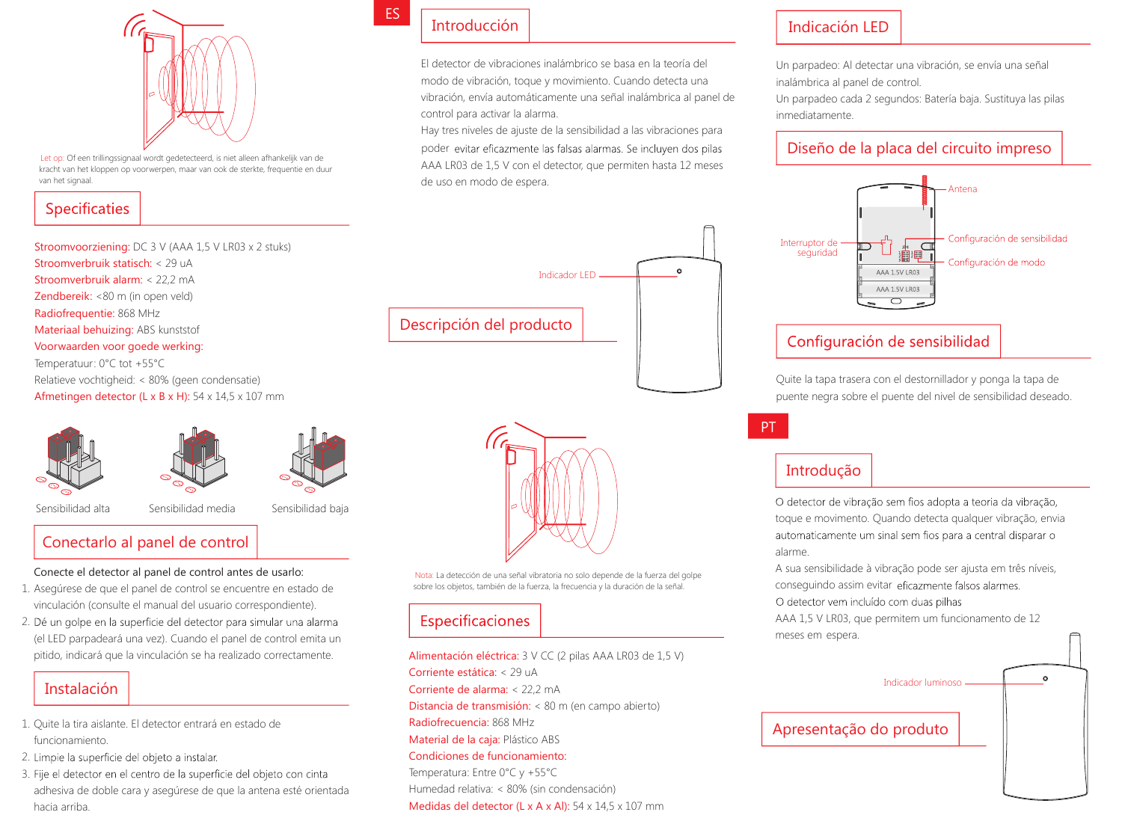

Let op: Of een trillingssignaal wordt gedetecteerd, is niet alleen afhankelijk van de kracht van het kloppen op voorwerpen, maar van ook de sterkte, frequentie en duur van het signaal.

#### Specificaties

Stroomvoorziening: DC 3 V (AAA 1,5 V LR03 x 2 stuks) Stroomverbruik statisch: < 29 uA Stroomverbruik alarm: < 22,2 mA Zendbereik: <80 m (in open veld) Radiofrequentie: 868 MHz Materiaal behuizing: ABS kunststof Voorwaarden voor goede werking: Temperatuur: 0°C tot +55°C Relatieve vochtigheid: < 80% (geen condensatie) Afmetingen detector (L x B x H): 54 x 14,5 x 107 mm







Sensibilidad alta Sensibilidad media Sensibilidad baja

#### Conectarlo al panel de control

Conecte el detector al panel de control antes de usarlo:

- 1. Asegúrese de que el panel de control se encuentre en estado de vinculación (consulte el manual del usuario correspondiente).
- 2. Dé un golpe en la superficie del detector para simular una alarma (el LED parpadeará una vez). Cuando el panel de control emita un pitido, indicará que la vinculación se ha realizado correctamente.

## Instalación

- 1. Quite la tira aislante. El detector entrará en estado de funcionamiento.
- 2. Limpie la superficie del objeto a instalar.
- 3. Fije el detector en el centro de la superficie del objeto con cinta adhesiva de doble cara y asegúrese de que la antena esté orientada hacia arriba.

## Introducción

ES

El detector de vibraciones inalámbrico se basa en la teoría del modo de vibración, toque y movimiento. Cuando detecta una vibración, envía automáticamente una señal inalámbrica al panel de control para activar la alarma.

Hay tres niveles de ajuste de la sensibilidad a las vibraciones para AAA LR03 de 1,5 V con el detector, que permiten hasta 12 meses de uso en modo de espera. poder evitar eficazmente las falsas alarmas. Se incluyen dos pilas





Nota: La detección de una señal vibratoria no solo depende de la fuerza del golpe sobre los objetos, también de la fuerza, la frecuencia y la duración de la señal.

#### Especificaciones

Alimentación eléctrica: 3 V CC (2 pilas AAA LR03 de 1,5 V) Corriente estática: < 29 uA Corriente de alarma: < 22,2 mA Distancia de transmisión: < 80 m (en campo abierto) Radiofrecuencia: 868 MHz Material de la caja: Plástico ABS Condiciones de funcionamiento: Temperatura: Entre 0°C y +55°C Humedad relativa: < 80% (sin condensación) Medidas del detector (L x A x Al): 54 x 14,5 x 107 mm

#### Indicación LED

Un parpadeo: Al detectar una vibración, se envía una señal inalámbrica al panel de control.

Un parpadeo cada 2 segundos: Batería baja. Sustituya las pilas inmediatamente.

#### Diseño de la placa del circuito impreso



#### Configuración de sensibilidad

Quite la tapa trasera con el destornillador y ponga la tapa de puente negra sobre el puente del nivel de sensibilidad deseado.

### Introdução

PT

O detector de vibração sem fios adopta a teoria da vibração, toque e movimento. Quando detecta qualquer vibração, envia automaticamente um sinal sem fios para a central disparar o alarme.

A sua sensibilidade à vibração pode ser ajusta em três níveis, conseguindo assim evitar eficazmente falsos alarmes. O detector vem incluído com duas pilhas

AAA 1,5 V LR03, que permitem um funcionamento de 12 meses em espera.

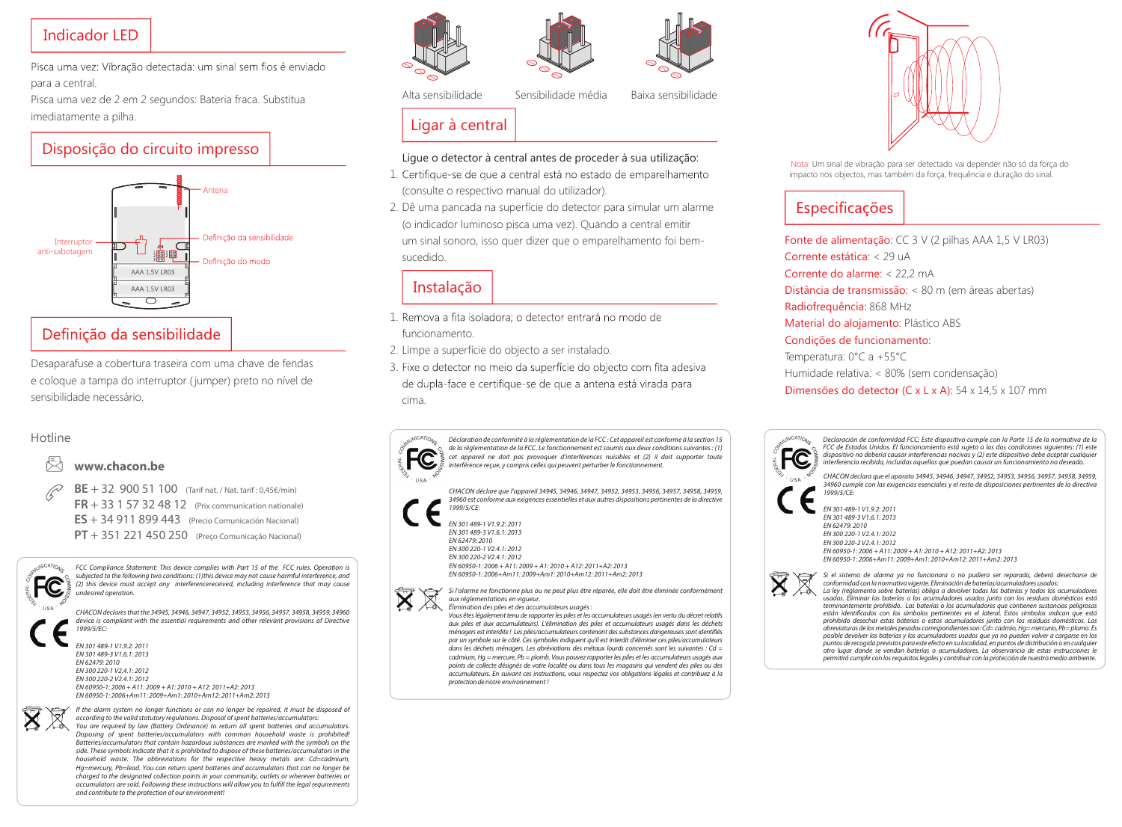#### Indicador LED

Pisca uma vez: Vibração detectada: um sinal sem fios é enviado para a central.

Pisca uma vez de 2 em 2 segundos: Bateria fraca. Substitua imediatamente a pilha.

#### Disposição do circuito impresso



Desaparafuse a cobertura traseira com uma chave de fendas e coloque a tampa do interruptor ( jumper) preto no nível de sensibilidade necessário.

#### Hotline

#### **www.chacon.be**

**BE** + 32 900 51 100 (Tarif nat. / Nat. tarif : 0,45€/min) **FR** + 33 1 57 32 48 12 (Prix communication nationale) **ES** + 34 911 899 443 (Precio Comunicación Nacional) **PT** + 351 221 450 250 (Preço Comunicação Nacional)



FCC Compliance Statement: This device complies with Part 15 of the FCC rules. Operation is subjected to the following two conditions: (1)this device may not cause harmful interference, and (2) this device must accept any interferencereceived, including interference that may cause undesired operation.

CHACON declares that the 34945, 34946, 34947, 34952, 34953, 34956, 34957, 34958, 34959, 34960 device is compliant with the essential requirements and other relevant provisions of Directive 1999/5/EC:

EN 301 489-1 V1.9.2: 2011 EN 301 489-3 V1.6.1: 2013 EN 62479: 2010 EN 300 220-1 V2.4.1: 2012 EN 300 220-2 V2.4.1: 2012  $EN 60950 - 1: 2006 + 411: 2009 + 41: 2010 + 412: 2011 + 42: 2013$ EN 60950-1: 2006+Am11: 2009+Am1: 2010+Am12: 2011+Am2: 2013



If the alarm system no longer functions or can no longer be repaired, it must be disposed of according to the valid statutory regulations. Disposal of spent batteries/accumulators: You are required by law (Battery Ordinance) to return all spent batteries and accumulators Disposing of spent batteries/accumulators with common household waste is prohibited! Batteries/accumulators that contain hazardous substances are marked with the symbols on the side. These symbols indicate that it is prohibited to dispose of these batteries/accumulators in the household waste. The abbreviations for the respective heavy metals are: Cd=cadmium, Hg=mercury, Pb=lead. You can return spent batteries and accumulators that can no longer be charged to the designated collection points in your community, outlets or wherever batteries or accumulators are sold. Following these instructions will allow you to fulfll the legal requirements and contribute to the protection of our environment!





Alta sensibilidade Sensibilidade média Baixa sensibilidade

#### Ligar à central

#### Ligue o detector à central antes de proceder à sua utilização:

- 1. Certifique-se de que a central está no estado de emparelhamento (consulte o respectivo manual do utilizador).
- 2. Dê uma pancada na superfície do detector para simular um alarme (o indicador luminoso pisca uma vez). Quando a central emitir um sinal sonoro, isso quer dizer que o emparelhamento foi bemsucedido.

#### Instalação

- 1. Remova a fita isoladora: o detector entrará no modo de funcionamento.
- 2. Limpe a superfície do objecto a ser instalado.
- 3. Fixe o detector no meio da superfície do objecto com fita adesiva de dupla-face e certifique-se de que a antena está virada para cima.

Déclaration de conformité à la réglementation de la FCC : Cet appareil est conforme à la section 15 de la réglementation de la FCC. Le fonctionnement est soumis aux deux conditions suivantes : (1) cet appareil ne doit pas provoquer d'interférences nuisibles et (2) il doit supporter toute interférence reçue, y compris celles qui peuvent perturber le fonctionnement.

CHACON déclare que l'appareil 34945, 34946, 34947, 34952, 34953, 34956, 34957, 34958, 34959, 34960 est conforme aux exigences essentielles et aux autres dispositions pertinentes de la directive 1999/5/CE:

#### EN 301 489-1 V1.9.2: 2011 EN 301 489-3 V1.6.1: 2013 EN 62479: 2010 EN 300 220-1 V2.4.1: 2012 EN 300 220-2 V2.4.1: 2012 EN 60950-1: 2006 + A11: 2009 + A1: 2010 + A12: 2011+A2: 2013 EN 60950-1: 2006+Am11: 2009+Am1: 2010+Am12: 2011+Am2: 2013

Si l'alarme ne fonctionne plus ou ne peut plus être réparée, elle doit être éliminée conformément aux réglementations en vigueur.

Élimination des piles et des accumulateurs usagés: Vous êtes légalement tenu de rapporter les piles et les accumulateurs usagés (en vertu du décret relatifs aux piles et aux accumulateurs). L'élimination des piles et accumulateurs usagés dans les déchets ménagers est interdite ! Les piles/accumulateurs contenant des substances dangereuses sont identifés par un symbole sur le côté. Ces symboles indiquent qu'il est interdit d'éliminer ces piles/accumulateurs dans les déchets ménagers. Les abréviations des métaux lourds concernés sont les suivantes : Cd = cadmium, Hg = mercure, Pb = plomb. Vous pouvez rapporter les piles et les accumulateurs usagés aux points de collecte désignés de votre localité ou dans tous les magasins qui vendent des piles ou des accumulateurs. En suivant ces instructions, vous respectez vos obligations légales et contribuez à la protection de notre environnement !



Nota: Um sinal de vibração para ser detectado vai depender não só da força do impacto nos objectos, mas também da força, frequência e duração do sinal.

## Especificações

Fonte de alimentação: CC 3 V (2 pilhas AAA 1,5 V LR03) Corrente estática: < 29 uA Corrente do alarme: < 22,2 mA Distância de transmissão: < 80 m (em áreas abertas) Radiofrequência: 868 MHz Material do alojamento: Plástico ABS Condições de funcionamento: Temperatura: 0°C a +55°C Humidade relativa: < 80% (sem condensação) Dimensões do detector (C x L x A): 54 x 14,5 x 107 mm



Declaración de conformidad FCC: Este dispositivo cumple con la Parte 15 de la normativa de la FCC de Estados Unidos. El funcionamiento está sujeto a las dos condiciones siguientes: (1) este dispositivo no debería causar interferencias nocivas y (2) este dispositivo debe aceptar cualquier interferencia recibida, incluidas aquellas que puedan causar un funcionamiento no deseado.

CHACON declara que el aparato 34945, 34946, 34947, 34952, 34953, 34956, 34957, 34958, 34959, 34960 cumple con las exigencias esenciales y el resto de disposiciones pertinentes de la directiva

EN 301 489-3 V1.6.1: 2013 EN 300 220-1 V2.4.1: 2012 EN 300 220-2 V2.4.1: 2012 EN 60950-1: 2006 + A11: 2009 + A1: 2010 + A12: 2011+A2: 2013 EN 60950-1: 2006+Am11: 2009+Am1: 2010+Am12: 2011+Am2: 2013

Si el sistema de alarma ya no funcionara o no pudiera ser reparado, deberá desecharse de conformidad con la normativa vigente. Eliminación de baterías/acumuladores usados:



otro lugar donde se vendan baterías o acumuladores. La observancia de estas instrucciones le permitirá cumplir con los requisitos legales y contribuir con la protección de nuestro medio ambiente.